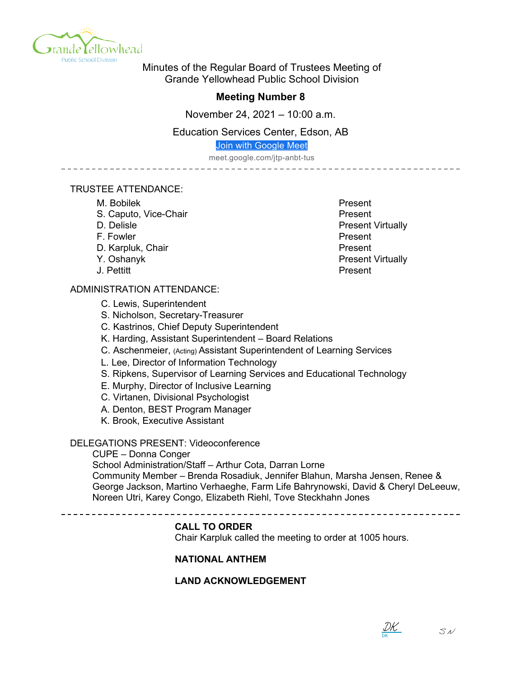

Minutes of the Regular Board of Trustees Meeting of Grande Yellowhead Public School Division

# **Meeting Number 8**

November 24, 2021 – 10:00 a.m.

Education Services Center, Edson, AB

Join with Google Meet

meet.google.com/jtp-anbt-tus

- - - - - - - - - - - - - -

# TRUSTEE ATTENDANCE:

- M. Bobilek **Present**
- S. Caputo, Vice-Chair **Present**
- 
- F. Fowler **Present**
- D. Karpluk, Chair **Present**
- 
- 

# ADMINISTRATION ATTENDANCE:

- C. Lewis, Superintendent
- S. Nicholson, Secretary-Treasurer
- C. Kastrinos, Chief Deputy Superintendent
- K. Harding, Assistant Superintendent Board Relations
- C. Aschenmeier, (Acting) Assistant Superintendent of Learning Services
- L. Lee, Director of Information Technology
- S. Ripkens, Supervisor of Learning Services and Educational Technology
- E. Murphy, Director of Inclusive Learning
- C. Virtanen, Divisional Psychologist
- A. Denton, BEST Program Manager
- K. Brook, Executive Assistant

# DELEGATIONS PRESENT: Videoconference

CUPE – Donna Conger

School Administration/Staff – Arthur Cota, Darran Lorne Community Member – Brenda Rosadiuk, Jennifer Blahun, Marsha Jensen, Renee & George Jackson, Martino Verhaeghe, Farm Life Bahrynowski, David & Cheryl DeLeeuw, Noreen Utri, Karey Congo, Elizabeth Riehl, Tove Steckhahn Jones

# **CALL TO ORDER**

Chair Karpluk called the meeting to order at 1005 hours.

# **NATIONAL ANTHEM**

# **LAND ACKNOWLEDGEMENT**

D. Delisle **D. Delisle** Present Virtually Y. Oshanyk **Present Virtually** J. Pettitt Present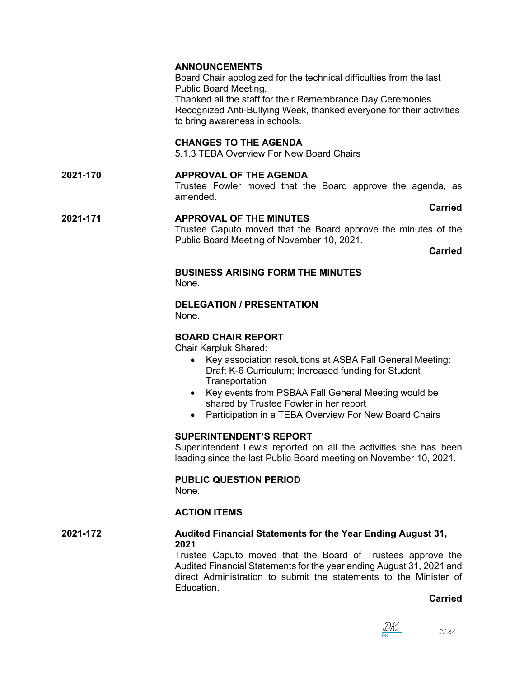# **ANNOUNCEMENTS**

Board Chair apologized for the technical difficulties from the last Public Board Meeting. Thanked all the staff for their Remembrance Day Ceremonies. Recognized Anti-Bullying Week, thanked everyone for their activities to bring awareness in schools.

## **CHANGES TO THE AGENDA**

5.1.3 TEBA Overview For New Board Chairs

# **2021-170 APPROVAL OF THE AGENDA**

Trustee Fowler moved that the Board approve the agenda, as amended.

**Carried**

#### **2021-171 APPROVAL OF THE MINUTES** Trustee Caputo moved that the Board approve the minutes of the Public Board Meeting of November 10, 2021.

**Carried**

#### **BUSINESS ARISING FORM THE MINUTES** None.

#### **DELEGATION / PRESENTATION**

None.

## **BOARD CHAIR REPORT**

Chair Karpluk Shared:

- Key association resolutions at ASBA Fall General Meeting: Draft K-6 Curriculum; Increased funding for Student **Transportation**
- Key events from PSBAA Fall General Meeting would be shared by Trustee Fowler in her report
- Participation in a TEBA Overview For New Board Chairs

# **SUPERINTENDENT'S REPORT**

Superintendent Lewis reported on all the activities she has been leading since the last Public Board meeting on November 10, 2021.

# **PUBLIC QUESTION PERIOD**

None.

# **ACTION ITEMS**

**2021-172 Audited Financial Statements for the Year Ending August 31, 2021** Trustee Caputo moved that the Board of Trustees approve the

Audited Financial Statements for the year ending August 31, 2021 and direct Administration to submit the statements to the Minister of Education.

**Carried**

DK <u>IK .</u>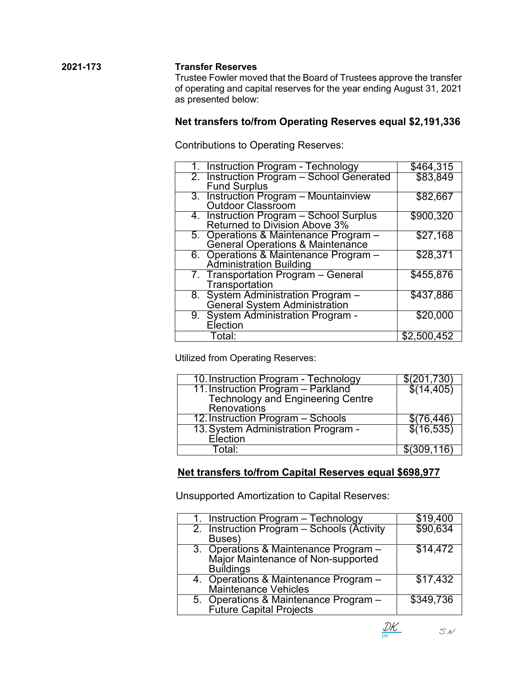**2021-173 Transfer Reserves** Trustee Fowler moved that the Board of Trustees approve the transfer of operating and capital reserves for the year ending August 31, 2021 as presented below:

# **Net transfers to/from Operating Reserves equal \$2,191,336**

Contributions to Operating Reserves:

| 1. Instruction Program - Technology       | \$464,315            |
|-------------------------------------------|----------------------|
| 2. Instruction Program - School Generated | \$83,849             |
| <b>Fund Surplus</b>                       |                      |
| 3. Instruction Program - Mountainview     | \$82,667             |
| Outdoor Classroom                         |                      |
| 4. Instruction Program – School Surplus   | \$900,320            |
| Returned to Division Above 3%             |                      |
| 5. Operations & Maintenance Program -     | $\overline{$}27,168$ |
| General Operations & Maintenance          |                      |
| 6. Operations & Maintenance Program -     | \$28,371             |
| <b>Administration Building</b>            |                      |
| 7. Transportation Program - General       | \$455,876            |
| Transportation                            |                      |
| 8. System Administration Program -        | \$437,886            |
| <b>General System Administration</b>      |                      |
| 9. System Administration Program -        | \$20,000             |
| Election                                  |                      |
| Total:                                    | \$2,500,452          |

Utilized from Operating Reserves:

| 10. Instruction Program - Technology                                    | $\sqrt{(201,730)}$ |
|-------------------------------------------------------------------------|--------------------|
| 11. Instruction Program – Parkland<br>Technology and Engineering Centre | $\$(14,405)$       |
|                                                                         |                    |
| Renovations                                                             |                    |
| 12. Instruction Program - Schools                                       | \$(76, 446)        |
| 13. System Administration Program -                                     | \$(16,535)         |
| Election                                                                |                    |
| ∍otal: ⊤                                                                | \$(309, 116)       |

# **Net transfers to/from Capital Reserves equal \$698,977**

Unsupported Amortization to Capital Reserves:

| 1. Instruction Program - Technology        | \$19,400  |
|--------------------------------------------|-----------|
| 2. Instruction Program - Schools (Activity | \$90,634  |
| Buses)                                     |           |
| 3. Operations & Maintenance Program -      | \$14,472  |
| Major Maintenance of Non-supported         |           |
| <b>Buildings</b>                           |           |
| 4. Operations & Maintenance Program -      | \$17,432  |
| Maintenance Vehicles                       |           |
| 5. Operations & Maintenance Program -      | \$349,736 |
| <b>Future Capital Projects</b>             |           |

DK DK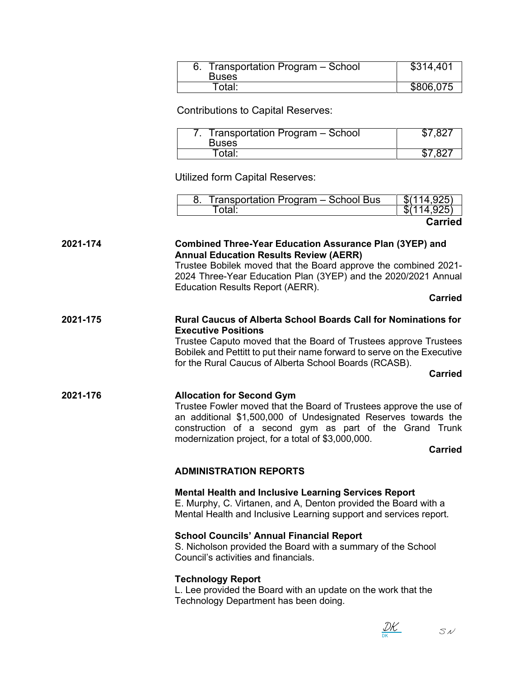| Transportation Program - School<br><b>Buses</b> | \$314,401 |
|-------------------------------------------------|-----------|
| Total:                                          | \$806,075 |

Contributions to Capital Reserves:

| Transportation Program – School<br><b>Buses</b> | $$7.82$ <sup>-</sup> |
|-------------------------------------------------|----------------------|
| . otal <sup>.</sup>                             | ר סידים              |

Utilized form Capital Reserves:

| Transportation Program - School Bus | $\sqrt{(114.925)}$      |
|-------------------------------------|-------------------------|
| `otal:                              | $$(11\overline{4.925})$ |
|                                     |                         |

**Carried**

#### **2021-174 Combined Three-Year Education Assurance Plan (3YEP) and Annual Education Results Review (AERR)**

Trustee Bobilek moved that the Board approve the combined 2021- 2024 Three-Year Education Plan (3YEP) and the 2020/2021 Annual Education Results Report (AERR).

**Carried**

## **2021-175 Rural Caucus of Alberta School Boards Call for Nominations for Executive Positions**

Trustee Caputo moved that the Board of Trustees approve Trustees Bobilek and Pettitt to put their name forward to serve on the Executive for the Rural Caucus of Alberta School Boards (RCASB).

#### **Carried**

# **2021-176 Allocation for Second Gym**

Trustee Fowler moved that the Board of Trustees approve the use of an additional \$1,500,000 of Undesignated Reserves towards the construction of a second gym as part of the Grand Trunk modernization project, for a total of \$3,000,000.

**Carried**

# **ADMINISTRATION REPORTS**

# **Mental Health and Inclusive Learning Services Report**

E. Murphy, C. Virtanen, and A, Denton provided the Board with a Mental Health and Inclusive Learning support and services report.

# **School Councils' Annual Financial Report**

S. Nicholson provided the Board with a summary of the School Council's activities and financials.

# **Technology Report**

L. Lee provided the Board with an update on the work that the Technology Department has been doing.

DK <u>IK .</u>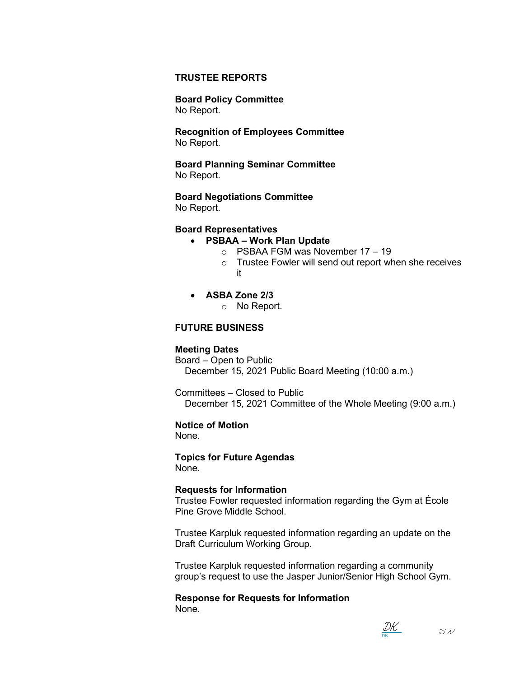#### **TRUSTEE REPORTS**

**Board Policy Committee** No Report.

**Recognition of Employees Committee** No Report.

**Board Planning Seminar Committee** No Report.

**Board Negotiations Committee**

No Report.

#### **Board Representatives**

## • **PSBAA – Work Plan Update**

- $\circ$  PSBAA FGM was November 17 19
- o Trustee Fowler will send out report when she receives it
- **ASBA Zone 2/3**

o No Report.

#### **FUTURE BUSINESS**

#### **Meeting Dates**

Board – Open to Public December 15, 2021 Public Board Meeting (10:00 a.m.)

Committees – Closed to Public December 15, 2021 Committee of the Whole Meeting (9:00 a.m.)

#### **Notice of Motion**

None.

# **Topics for Future Agendas**

None.

#### **Requests for Information**

Trustee Fowler requested information regarding the Gym at École Pine Grove Middle School.

Trustee Karpluk requested information regarding an update on the Draft Curriculum Working Group.

Trustee Karpluk requested information regarding a community group's request to use the Jasper Junior/Senior High School Gym.

**Response for Requests for Information** None.

DK <u>DK</u>